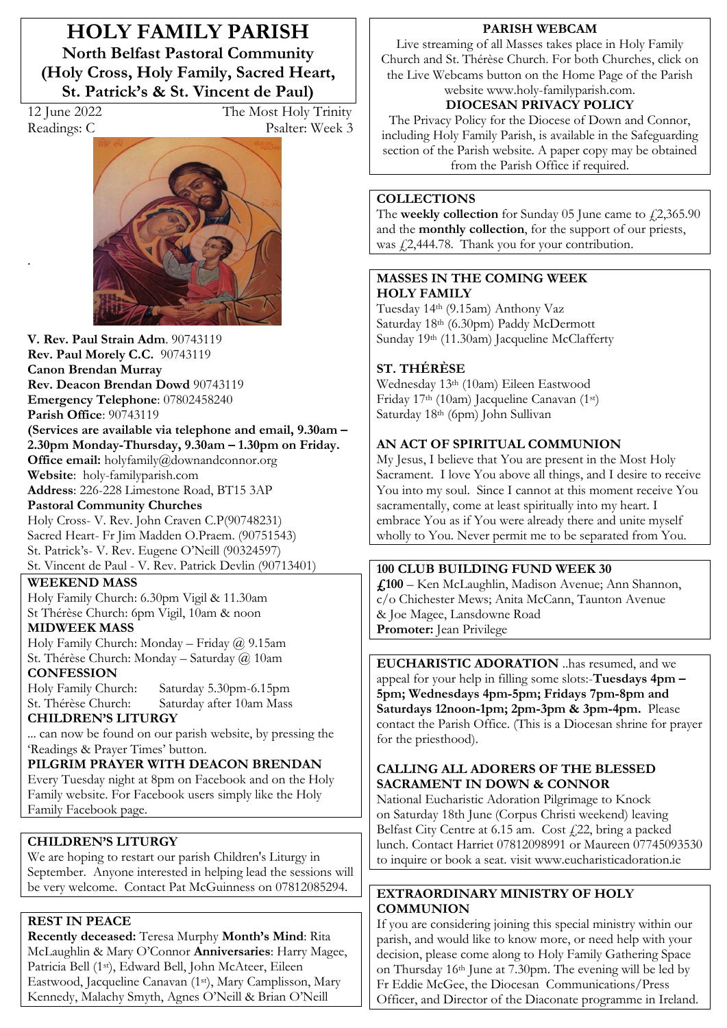**HOLY FAMILY PARISH North Belfast Pastoral Community (Holy Cross, Holy Family, Sacred Heart, St. Patrick's & St. Vincent de Paul)** 

.

12 June 2022 The Most Holy Trinity Readings: C Psalter: Week 3



**V. Rev. Paul Strain Adm**. 90743119 **Rev. Paul Morely C.C.** 90743119 **Canon Brendan Murray Rev. Deacon Brendan Dowd** 90743119 **Emergency Telephone**: 07802458240 **Parish Office**: 90743119 **(Services are available via telephone and email, 9.30am –** 2.30pm Monday-Thursday, 9.30am - 1.30pm on Friday. **Office email:** holyfamily@downandconnor.org **Website**: holy-familyparish.com **Address**: 226-228 Limestone Road, BT15 3AP **Pastoral Community Churches**

Holy Cross- V. Rev. John Craven C.P(90748231) Sacred Heart- Fr Jim Madden O.Praem. (90751543) St. Patrick's- V. Rev. Eugene O'Neill (90324597) St. Vincent de Paul - V. Rev. Patrick Devlin (90713401)

**WEEKEND MASS** 

Holy Family Church: 6.30pm Vigil & 11.30am St Thérèse Church: 6pm Vigil, 10am & noon

**MIDWEEK MASS**

Holy Family Church: Monday - Friday  $\omega$  9.15am St. Thérèse Church: Monday - Saturday @ 10am **CONFESSION**

Holy Family Church: Saturday 5.30pm-6.15pm Saturday after 10am Mass

**CHILDREN·S LITURGY** 

... can now be found on our parish website, by pressing the Readings & Prayer Times' button.

**PILGRIM PRAYER WITH DEACON BRENDAN** Every Tuesday night at 8pm on Facebook and on the Holy Family website. For Facebook users simply like the Holy Family Facebook page.

# **CHILDREN·S LITURGY**

We are hoping to restart our parish Children's Liturgy in September. Anyone interested in helping lead the sessions will be very welcome. Contact Pat McGuinness on 07812085294.

## **REST IN PEACE**

**Recently deceased:** Teresa Murphy **Month's Mind**: Rita McLaughlin & Mary O'Connor **Anniversaries**: Harry Magee, Patricia Bell (1st), Edward Bell, John McAteer, Eileen Eastwood, Jacqueline Canavan (1st), Mary Camplisson, Mary Kennedy, Malachy Smyth, Agnes O'Neill & Brian O'Neill

#### **PARISH WEBCAM**

Live streaming of all Masses takes place in Holy Family Church and St. Thérèse Church. For both Churches, click on the Live Webcams button on the Home Page of the Parish website www.holy-familyparish.com.

# **DIOCESAN PRIVACY POLICY**

The Privacy Policy for the Diocese of Down and Connor, including Holy Family Parish, is available in the Safeguarding section of the Parish website. A paper copy may be obtained from the Parish Office if required.

#### **COLLECTIONS**

The **weekly collection** for Sunday 05 June came to  $\text{\textsterling}2,365.90$ and the **monthly collection**, for the support of our priests, was  $\sqrt{2}$ ,444.78. Thank you for your contribution.

#### **MASSES IN THE COMING WEEK HOLY FAMILY**

Tuesday 14th (9.15am) Anthony Vaz Saturday 18th (6.30pm) Paddy McDermott Sunday 19th (11.30am) Jacqueline McClafferty

## **ST. THÉRÈSE**

Wednesday 13th (10am) Eileen Eastwood Friday 17th (10am) Jacqueline Canavan (1st) Saturday 18th (6pm) John Sullivan

### **AN ACT OF SPIRITUAL COMMUNION**

My Jesus, I believe that You are present in the Most Holy Sacrament. I love You above all things, and I desire to receive You into my soul. Since I cannot at this moment receive You sacramentally, come at least spiritually into my heart. I embrace You as if You were already there and unite myself wholly to You. Never permit me to be separated from You.

## **100 CLUB BUILDING FUND WEEK 30**

£,100 - Ken McLaughlin, Madison Avenue; Ann Shannon, c/o Chichester Mews; Anita McCann, Taunton Avenue & Joe Magee, Lansdowne Road **Promoter:** Jean Privilege

**EUCHARISTIC ADORATION** ..has resumed, and we appeal for your help in filling some slots:-**Tuesdays**  $4pm$ **5pm; Wednesdays 4pm-5pm; Fridays 7pm-8pm and Saturdays 12noon-1pm; 2pm-3pm & 3pm-4pm.** Please contact the Parish Office. (This is a Diocesan shrine for prayer for the priesthood).

#### **CALLING ALL ADORERS OF THE BLESSED SACRAMENT IN DOWN & CONNOR**

National Eucharistic Adoration Pilgrimage to Knock on Saturday 18th June (Corpus Christi weekend) leaving Belfast City Centre at  $6.15$  am. Cost  $f$  22, bring a packed lunch. Contact Harriet 07812098991 or Maureen 07745093530 to inquire or book a seat. visit www.eucharisticadoration.ie

#### **EXTRAORDINARY MINISTRY OF HOLY COMMUNION**

If you are considering joining this special ministry within our parish, and would like to know more, or need help with your decision, please come along to Holy Family Gathering Space on Thursday 16th June at 7.30pm. The evening will be led by Fr Eddie McGee, the Diocesan Communications/Press Officer, and Director of the Diaconate programme in Ireland.